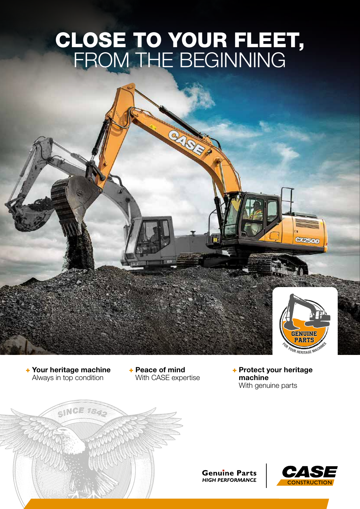# CLOSE TO YOUR FLEET, FROM THE BEGINNING



002500

+ Your heritage machine Always in top condition

+ Peace of mind With CASE expertise + Protect your heritage machine With genuine parts



**Genuine Parts HIGH PERFORMANCE**